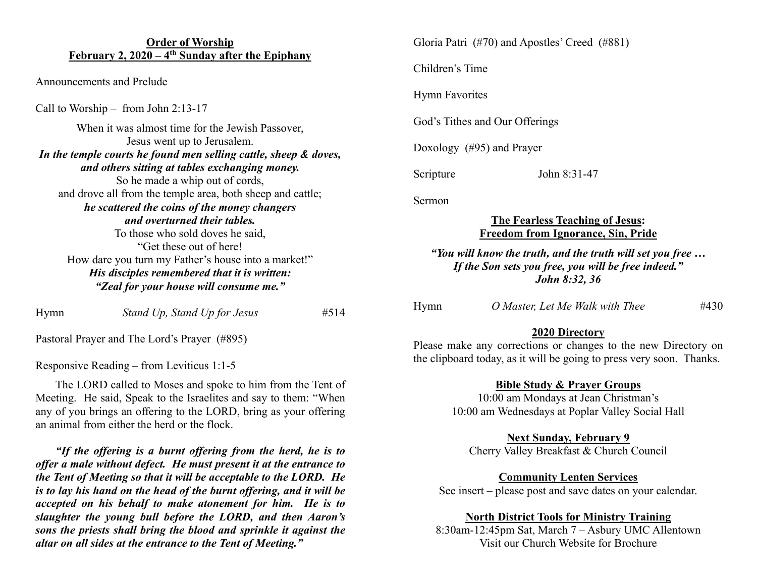## **Order of Worship February 2, 2020 – 4th Sunday after the Epiphany**

Announcements and Prelude

Call to Worship – from John 2:13-17

| When it was almost time for the Jewish Passover,                 |
|------------------------------------------------------------------|
| Jesus went up to Jerusalem.                                      |
| In the temple courts he found men selling cattle, sheep & doves, |
| and others sitting at tables exchanging money.                   |
| So he made a whip out of cords,                                  |
| and drove all from the temple area, both sheep and cattle;       |
| he scattered the coins of the money changers                     |
| and overturned their tables.                                     |
| To those who sold doves he said,                                 |
| "Get these out of here!                                          |
| How dare you turn my Father's house into a market!"              |
| His disciples remembered that it is written:                     |
| "Zeal for your house will consume me."                           |
|                                                                  |

Hymn *Stand Up, Stand Up for Jesus* #514

Pastoral Prayer and The Lord's Prayer (#895)

Responsive Reading – from Leviticus 1:1-5

 The LORD called to Moses and spoke to him from the Tent of Meeting. He said, Speak to the Israelites and say to them: "When any of you brings an offering to the LORD, bring as your offering an animal from either the herd or the flock.

 *"If the offering is a burnt offering from the herd, he is to offer a male without defect. He must present it at the entrance to the Tent of Meeting so that it will be acceptable to the LORD. He is to lay his hand on the head of the burnt offering, and it will be accepted on his behalf to make atonement for him. He is to slaughter the young bull before the LORD, and then Aaron's sons the priests shall bring the blood and sprinkle it against the altar on all sides at the entrance to the Tent of Meeting."*

Gloria Patri (#70) and Apostles' Creed (#881)

Children's Time

Hymn Favorites

God's Tithes and Our Offerings

Doxology (#95) and Prayer

Scripture John 8:31-47

Sermon

## **The Fearless Teaching of Jesus: Freedom from Ignorance, Sin, Pride**

*"You will know the truth, and the truth will set you free … If the Son sets you free, you will be free indeed." John 8:32, 36*

| Hymn |  | O Master, Let Me Walk with Thee | #430 |
|------|--|---------------------------------|------|
|      |  |                                 |      |

# **2020 Directory**

Please make any corrections or changes to the new Directory on the clipboard today, as it will be going to press very soon. Thanks.

# **Bible Study & Prayer Groups**

10:00 am Mondays at Jean Christman's 10:00 am Wednesdays at Poplar Valley Social Hall

# **Next Sunday, February 9**

Cherry Valley Breakfast & Church Council

**Community Lenten Services**

See insert – please post and save dates on your calendar.

#### **North District Tools for Ministry Training**

8:30am-12:45pm Sat, March 7 – Asbury UMC Allentown Visit our Church Website for Brochure